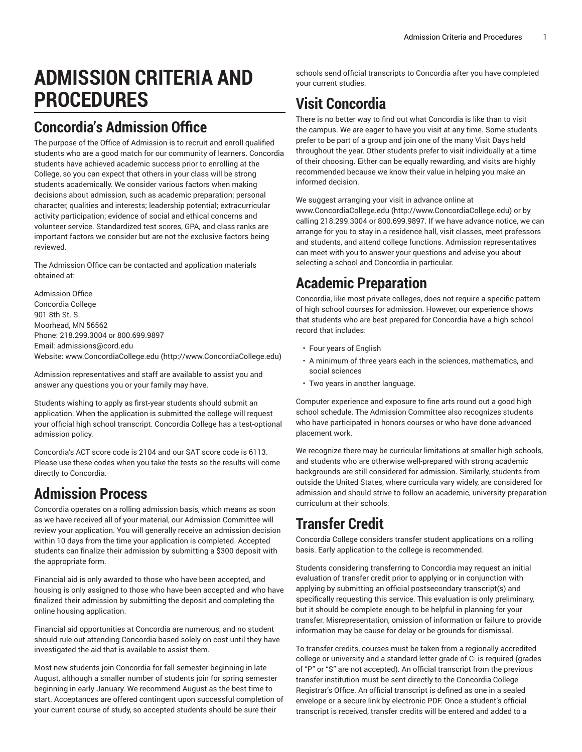# **ADMISSION CRITERIA AND PROCEDURES**

### **Concordia's Admission Office**

The purpose of the Office of Admission is to recruit and enroll qualified students who are a good match for our community of learners. Concordia students have achieved academic success prior to enrolling at the College, so you can expect that others in your class will be strong students academically. We consider various factors when making decisions about admission, such as academic preparation; personal character, qualities and interests; leadership potential; extracurricular activity participation; evidence of social and ethical concerns and volunteer service. Standardized test scores, GPA, and class ranks are important factors we consider but are not the exclusive factors being reviewed.

The Admission Office can be contacted and application materials obtained at:

Admission Office Concordia College 901 8th St. S. Moorhead, MN 56562 Phone: 218.299.3004 or 800.699.9897 Email: [admissions@cord.edu](mailto:admissions@cord.edu) Website: [www.ConcordiaCollege.edu](http://www.ConcordiaCollege.edu) ([http://www.ConcordiaCollege.edu\)](http://www.ConcordiaCollege.edu)

Admission representatives and staff are available to assist you and answer any questions you or your family may have.

Students wishing to apply as first-year students should submit an application. When the application is submitted the college will request your official high school transcript. Concordia College has a test-optional admission policy.

Concordia's ACT score code is 2104 and our SAT score code is 6113. Please use these codes when you take the tests so the results will come directly to Concordia.

### **Admission Process**

Concordia operates on a rolling admission basis, which means as soon as we have received all of your material, our Admission Committee will review your application. You will generally receive an admission decision within 10 days from the time your application is completed. Accepted students can finalize their admission by submitting a \$300 deposit with the appropriate form.

Financial aid is only awarded to those who have been accepted, and housing is only assigned to those who have been accepted and who have finalized their admission by submitting the deposit and completing the online housing application.

Financial aid opportunities at Concordia are numerous, and no student should rule out attending Concordia based solely on cost until they have investigated the aid that is available to assist them.

Most new students join Concordia for fall semester beginning in late August, although a smaller number of students join for spring semester beginning in early January. We recommend August as the best time to start. Acceptances are offered contingent upon successful completion of your current course of study, so accepted students should be sure their

schools send official transcripts to Concordia after you have completed your current studies.

## **Visit Concordia**

There is no better way to find out what Concordia is like than to visit the campus. We are eager to have you visit at any time. Some students prefer to be part of a group and join one of the many Visit Days held throughout the year. Other students prefer to visit individually at a time of their choosing. Either can be equally rewarding, and visits are highly recommended because we know their value in helping you make an informed decision.

We suggest arranging your visit in advance online at [www.ConcordiaCollege.edu \(http://www.ConcordiaCollege.edu](http://www.ConcordiaCollege.edu)) or by calling 218.299.3004 or 800.699.9897. If we have advance notice, we can arrange for you to stay in a residence hall, visit classes, meet professors and students, and attend college functions. Admission representatives can meet with you to answer your questions and advise you about selecting a school and Concordia in particular.

### **Academic Preparation**

Concordia, like most private colleges, does not require a specific pattern of high school courses for admission. However, our experience shows that students who are best prepared for Concordia have a high school record that includes:

- Four years of English
- A minimum of three years each in the sciences, mathematics, and social sciences
- Two years in another language.

Computer experience and exposure to fine arts round out a good high school schedule. The Admission Committee also recognizes students who have participated in honors courses or who have done advanced placement work.

We recognize there may be curricular limitations at smaller high schools, and students who are otherwise well-prepared with strong academic backgrounds are still considered for admission. Similarly, students from outside the United States, where curricula vary widely, are considered for admission and should strive to follow an academic, university preparation curriculum at their schools.

### **Transfer Credit**

Concordia College considers transfer student applications on a rolling basis. Early application to the college is recommended.

Students considering transferring to Concordia may request an initial evaluation of transfer credit prior to applying or in conjunction with applying by submitting an official postsecondary transcript(s) and specifically requesting this service. This evaluation is only preliminary, but it should be complete enough to be helpful in planning for your transfer. Misrepresentation, omission of information or failure to provide information may be cause for delay or be grounds for dismissal.

To transfer credits, courses must be taken from a regionally accredited college or university and a standard letter grade of C- is required (grades of "P" or "S" are not accepted). An official transcript from the previous transfer institution must be sent directly to the Concordia College Registrar's Office. An official transcript is defined as one in a sealed envelope or a secure link by electronic PDF. Once a student's official transcript is received, transfer credits will be entered and added to a